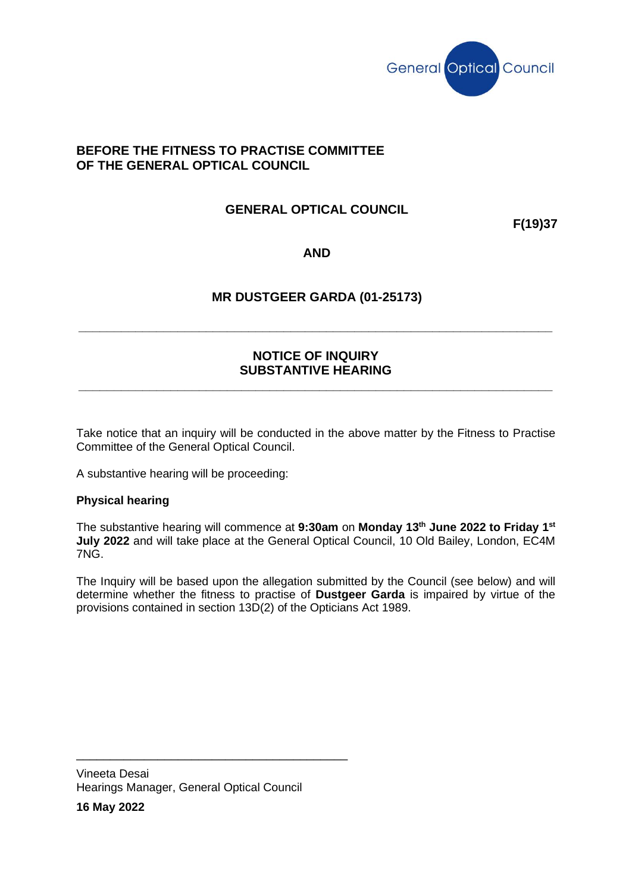

### **BEFORE THE FITNESS TO PRACTISE COMMITTEE OF THE GENERAL OPTICAL COUNCIL**

### **GENERAL OPTICAL COUNCIL**

**F(19)37**

#### **AND**

### **MR DUSTGEER GARDA (01-25173)**

**\_\_\_\_\_\_\_\_\_\_\_\_\_\_\_\_\_\_\_\_\_\_\_\_\_\_\_\_\_\_\_\_\_\_\_\_\_\_\_\_\_\_\_\_\_\_\_\_\_\_\_\_\_\_\_\_\_\_\_\_\_\_\_\_\_\_\_**

### **NOTICE OF INQUIRY SUBSTANTIVE HEARING**

**\_\_\_\_\_\_\_\_\_\_\_\_\_\_\_\_\_\_\_\_\_\_\_\_\_\_\_\_\_\_\_\_\_\_\_\_\_\_\_\_\_\_\_\_\_\_\_\_\_\_\_\_\_\_\_\_\_\_\_\_\_\_\_\_\_\_\_**

Take notice that an inquiry will be conducted in the above matter by the Fitness to Practise Committee of the General Optical Council.

A substantive hearing will be proceeding:

#### **Physical hearing**

The substantive hearing will commence at **9:30am** on **Monday 13th June 2022 to Friday 1 st July 2022** and will take place at the General Optical Council, 10 Old Bailey, London, EC4M 7NG.

The Inquiry will be based upon the allegation submitted by the Council (see below) and will determine whether the fitness to practise of **Dustgeer Garda** is impaired by virtue of the provisions contained in section 13D(2) of the Opticians Act 1989.

Vineeta Desai Hearings Manager, General Optical Council

\_\_\_\_\_\_\_\_\_\_\_\_\_\_\_\_\_\_\_\_\_\_\_\_\_\_\_\_\_\_\_\_\_\_\_\_\_\_\_\_

**16 May 2022**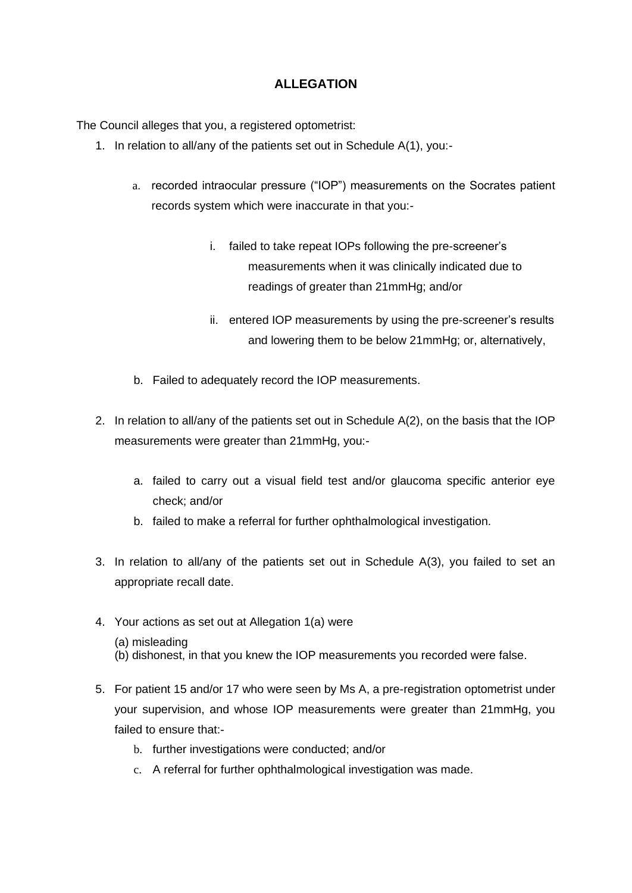## **ALLEGATION**

The Council alleges that you, a registered optometrist:

- 1. In relation to all/any of the patients set out in Schedule A(1), you:
	- a. recorded intraocular pressure ("IOP") measurements on the Socrates patient records system which were inaccurate in that you:
		- i. failed to take repeat IOPs following the pre-screener's measurements when it was clinically indicated due to readings of greater than 21mmHg; and/or
		- ii. entered IOP measurements by using the pre-screener's results and lowering them to be below 21mmHg; or, alternatively,
	- b. Failed to adequately record the IOP measurements.
- 2. In relation to all/any of the patients set out in Schedule A(2), on the basis that the IOP measurements were greater than 21mmHg, you:
	- a. failed to carry out a visual field test and/or glaucoma specific anterior eye check; and/or
	- b. failed to make a referral for further ophthalmological investigation.
- 3. In relation to all/any of the patients set out in Schedule A(3), you failed to set an appropriate recall date.
- 4. Your actions as set out at Allegation 1(a) were
	- (a) misleading
	- (b) dishonest, in that you knew the IOP measurements you recorded were false.
- 5. For patient 15 and/or 17 who were seen by Ms A, a pre-registration optometrist under your supervision, and whose IOP measurements were greater than 21mmHg, you failed to ensure that:
	- b. further investigations were conducted; and/or
	- c. A referral for further ophthalmological investigation was made.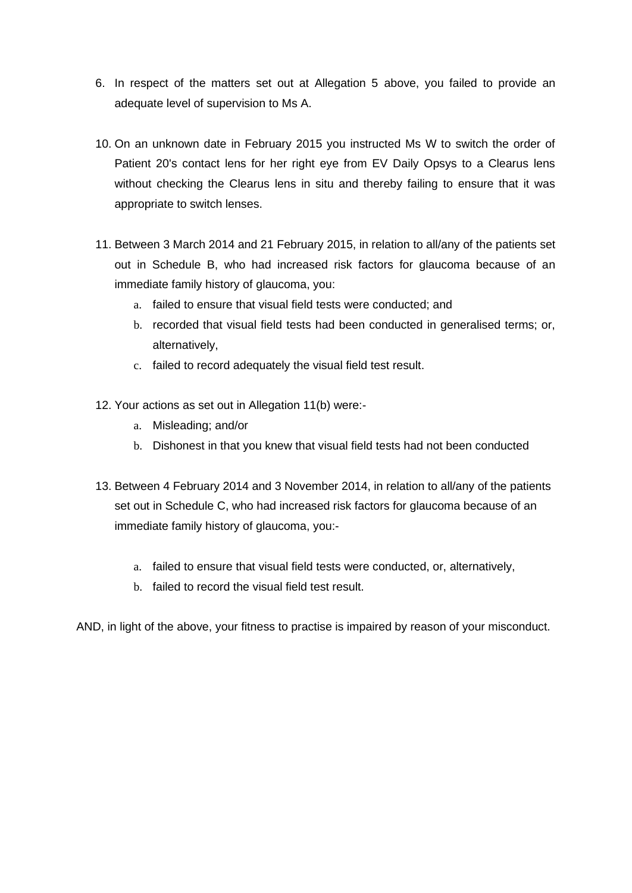- 6. In respect of the matters set out at Allegation 5 above, you failed to provide an adequate level of supervision to Ms A.
- 10. On an unknown date in February 2015 you instructed Ms W to switch the order of Patient 20's contact lens for her right eye from EV Daily Opsys to a Clearus lens without checking the Clearus lens in situ and thereby failing to ensure that it was appropriate to switch lenses.
- 11. Between 3 March 2014 and 21 February 2015, in relation to all/any of the patients set out in Schedule B, who had increased risk factors for glaucoma because of an immediate family history of glaucoma, you:
	- a. failed to ensure that visual field tests were conducted; and
	- b. recorded that visual field tests had been conducted in generalised terms; or, alternatively,
	- c. failed to record adequately the visual field test result.
- 12. Your actions as set out in Allegation 11(b) were:
	- a. Misleading; and/or
	- b. Dishonest in that you knew that visual field tests had not been conducted
- 13. Between 4 February 2014 and 3 November 2014, in relation to all/any of the patients set out in Schedule C, who had increased risk factors for glaucoma because of an immediate family history of glaucoma, you:
	- a. failed to ensure that visual field tests were conducted, or, alternatively,
	- b. failed to record the visual field test result.

AND, in light of the above, your fitness to practise is impaired by reason of your misconduct.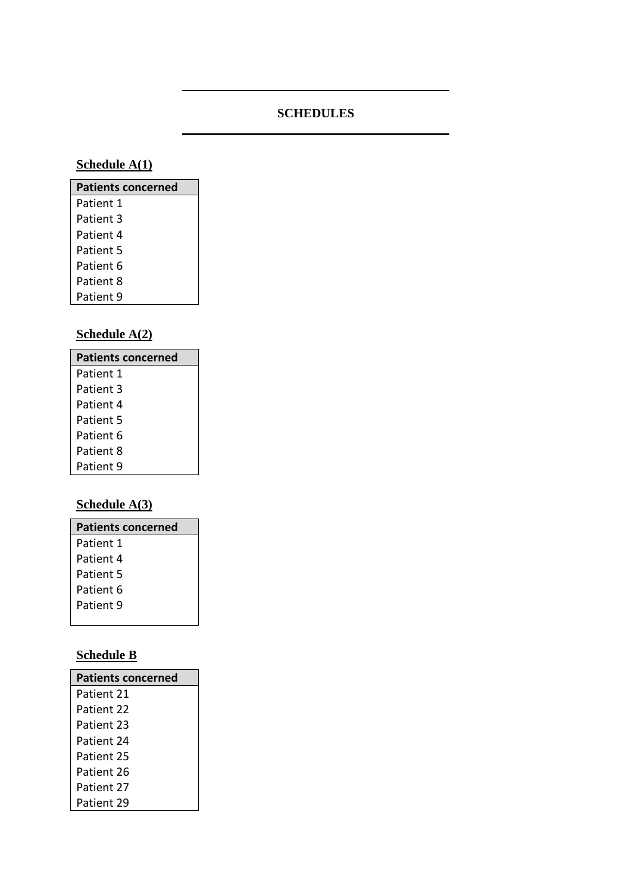# **SCHEDULES**

# **Schedule A(1)**

| <b>Patients concerned</b> |
|---------------------------|
| Patient 1                 |
| Patient 3                 |
| Patient 4                 |
| Patient 5                 |
| Patient 6                 |
| Patient 8                 |
| Patient 9                 |

# **Schedule A(2)**

| <b>Patients concerned</b> |
|---------------------------|
| Patient 1                 |
| Patient 3                 |
| Patient 4                 |
| Patient 5                 |
| Patient 6                 |
| Patient 8                 |
| Patient 9                 |

# **Schedule A(3)**

| <b>Patients concerned</b> |
|---------------------------|
| Patient 1                 |
| Patient 4                 |
| Patient 5                 |
| Patient 6                 |
| Patient 9                 |

# **Schedule B**

| <b>Patients concerned</b> |
|---------------------------|
| Patient 21                |
| Patient 22                |
| Patient 23                |
| Patient 24                |
| Patient 25                |
| Patient 26                |
| Patient 27                |
| Patient 29                |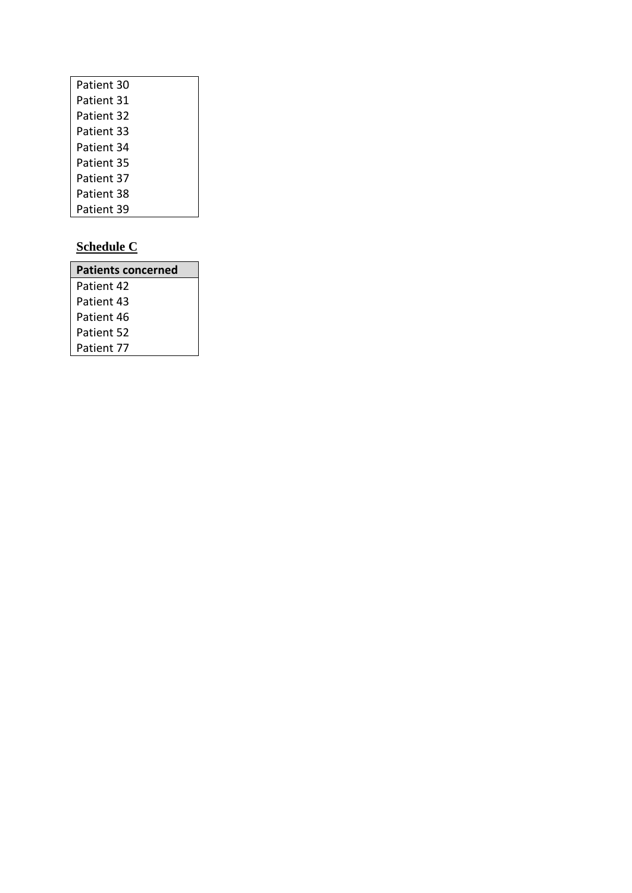| Patient 30 |
|------------|
| Patient 31 |
| Patient 32 |
| Patient 33 |
| Patient 34 |
| Patient 35 |
| Patient 37 |
| Patient 38 |
| Patient 39 |

# **Schedule C**

| <b>Patients concerned</b> |
|---------------------------|
| Patient 42                |
| Patient 43                |
| Patient 46                |
| Patient 52                |
| Patient 77                |